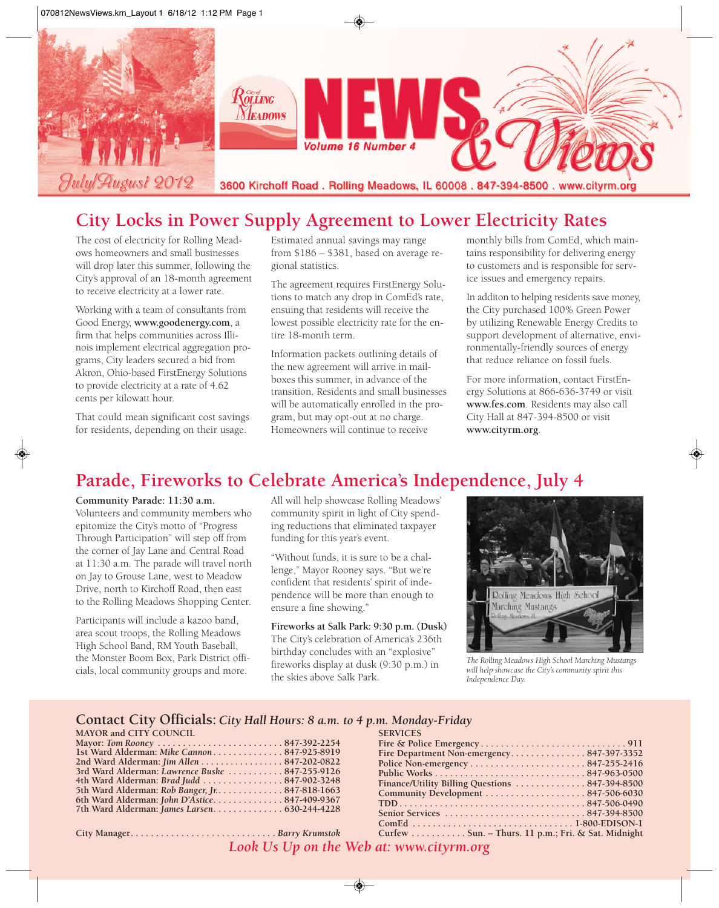

## **City Locks in Power Supply Agreement to Lower Electricity Rates**

The cost of electricity for Rolling Meadows homeowners and small businesses will drop later this summer, following the City's approval of an 18-month agreement to receive electricity at a lower rate.

Working with a team of consultants from Good Energy, **www.goodenergy.com**, a firm that helps communities across Illinois implement electrical aggregation programs, City leaders secured a bid from Akron, Ohio-based FirstEnergy Solutions to provide electricity at a rate of 4.62 cents per kilowatt hour.

That could mean significant cost savings for residents, depending on their usage.

Estimated annual savings may range from \$186 – \$381, based on average regional statistics.

The agreement requires FirstEnergy Solutions to match any drop in ComEd's rate, ensuing that residents will receive the lowest possible electricity rate for the entire 18-month term.

Information packets outlining details of the new agreement will arrive in mailboxes this summer, in advance of the transition. Residents and small businesses will be automatically enrolled in the program, but may opt-out at no charge. Homeowners will continue to receive

monthly bills from ComEd, which maintains responsibility for delivering energy to customers and is responsible for service issues and emergency repairs.

In additon to helping residents save money, the City purchased 100% Green Power by utilizing Renewable Energy Credits to support development of alternative, environmentally-friendly sources of energy that reduce reliance on fossil fuels.

For more information, contact FirstEnergy Solutions at 866-636-3749 or visit **www.fes.com**. Residents may also call City Hall at 847-394-8500 or visit **www.cityrm.org**.

## **Parade, Fireworks to Celebrate America's Independence, July 4**

#### **Community Parade: 11:30 a.m.**

Volunteers and community members who epitomize the City's motto of "Progress Through Participation" will step off from the corner of Jay Lane and Central Road at 11:30 a.m. The parade will travel north on Jay to Grouse Lane, west to Meadow Drive, north to Kirchoff Road, then east to the Rolling Meadows Shopping Center.

Participants will include a kazoo band, area scout troops, the Rolling Meadows High School Band, RM Youth Baseball, the Monster Boom Box, Park District officials, local community groups and more.

All will help showcase Rolling Meadows' community spirit in light of City spending reductions that eliminated taxpayer funding for this year's event.

"Without funds, it is sure to be a challenge," Mayor Rooney says. "But we're confident that residents' spirit of independence will be more than enough to ensure a fine showing."

**Fireworks at Salk Park: 9:30 p.m. (Dusk)** The City's celebration of America's 236th birthday concludes with an "explosive" fireworks display at dusk (9:30 p.m.) in the skies above Salk Park.



*The Rolling Meadows High School Marching Mustangs will help showcase the City's community spirit this Independence Day.*

#### **Contact City Officials:** *City Hall Hours: 8 a.m. to 4 p.m. Monday-Friday*

| <b>MAYOR and CITY COUNCIL</b>                   |  |
|-------------------------------------------------|--|
| Mayor: Tom Rooney 847-392-2254                  |  |
| 1st Ward Alderman: Mike Cannon847-925-8919      |  |
| 2nd Ward Alderman: Jim Allen 847-202-0822       |  |
| 3rd Ward Alderman: Lawrence Buske  847-255-9126 |  |
| 4th Ward Alderman: Brad Judd  847-902-3248      |  |
| 5th Ward Alderman: Rob Banger, Jr. 847-818-1663 |  |
| 6th Ward Alderman: John D'Astice847-409-9367    |  |
| 7th Ward Alderman: James Larsen 630-244-4228    |  |

**City Manager. . . . . . . . . . . . . . . . . . . . . . . . . . . . .** *Barry Krumstok*

| <b>SERVICES</b>                                                                   |  |
|-----------------------------------------------------------------------------------|--|
|                                                                                   |  |
| Fire Department Non-emergency847-397-3352                                         |  |
|                                                                                   |  |
|                                                                                   |  |
| Finance/Utility Billing Questions  847-394-8500                                   |  |
| $Commonuity$ Development $\ldots \ldots \ldots \ldots \ldots \ldots 847-506-6030$ |  |
|                                                                                   |  |
|                                                                                   |  |
|                                                                                   |  |
| Curfew Sun. – Thurs. 11 p.m.; Fri. & Sat. Midnight                                |  |
|                                                                                   |  |

*Look Us Up on the Web at: www.cityrm.org*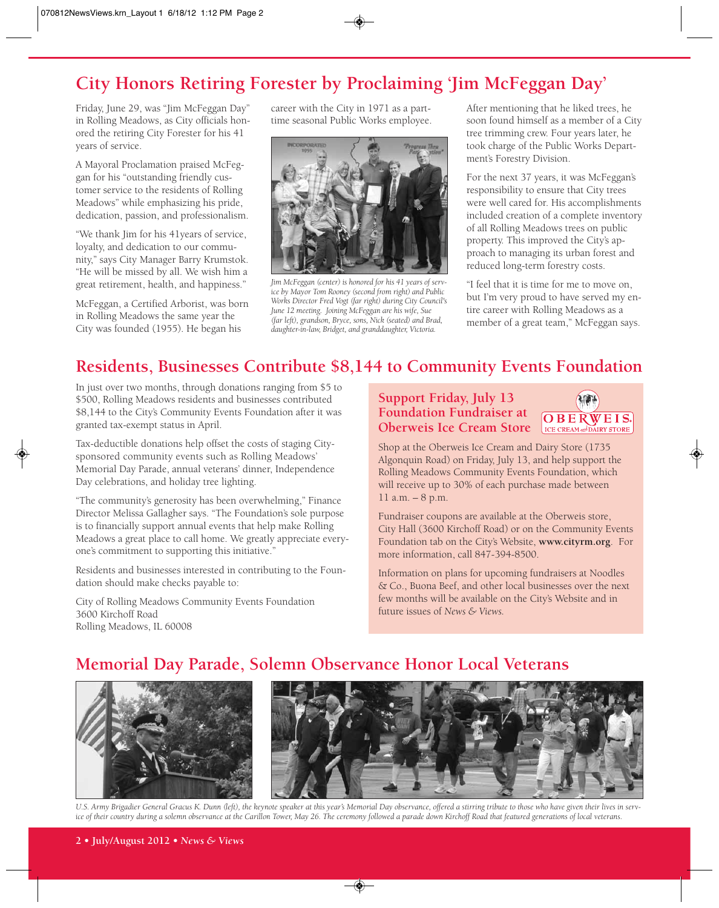# **City Honors Retiring Forester by Proclaiming 'Jim McFeggan Day'**

Friday, June 29, was "Jim McFeggan Day" in Rolling Meadows, as City officials honored the retiring City Forester for his 41 years of service.

A Mayoral Proclamation praised McFeggan for his "outstanding friendly customer service to the residents of Rolling Meadows" while emphasizing his pride, dedication, passion, and professionalism.

"We thank Jim for his 41years of service, loyalty, and dedication to our community," says City Manager Barry Krumstok. "He will be missed by all. We wish him a great retirement, health, and happiness."

McFeggan, a Certified Arborist, was born in Rolling Meadows the same year the City was founded (1955). He began his

career with the City in 1971 as a parttime seasonal Public Works employee.



*Jim McFeggan (center) is honored for his 41 years of service by Mayor Tom Rooney (second from right) and Public Works Director Fred Vogt (far right) during City Council's June 12 meeting. Joining McFeggan are his wife, Sue (far left), grandson, Bryce, sons, Nick (seated) and Brad, daughter-in-law, Bridget, and granddaughter, Victoria.*

After mentioning that he liked trees, he soon found himself as a member of a City tree trimming crew. Four years later, he took charge of the Public Works Department's Forestry Division.

For the next 37 years, it was McFeggan's responsibility to ensure that City trees were well cared for. His accomplishments included creation of a complete inventory of all Rolling Meadows trees on public property. This improved the City's approach to managing its urban forest and reduced long-term forestry costs.

"I feel that it is time for me to move on, but I'm very proud to have served my entire career with Rolling Meadows as a member of a great team," McFeggan says.

## **Residents, Businesses Contribute \$8,144 to Community Events Foundation**

In just over two months, through donations ranging from \$5 to \$500, Rolling Meadows residents and businesses contributed \$8,144 to the City's Community Events Foundation after it was granted tax-exempt status in April.

Tax-deductible donations help offset the costs of staging Citysponsored community events such as Rolling Meadows' Memorial Day Parade, annual veterans' dinner, Independence Day celebrations, and holiday tree lighting.

"The community's generosity has been overwhelming," Finance Director Melissa Gallagher says. "The Foundation's sole purpose is to financially support annual events that help make Rolling Meadows a great place to call home. We greatly appreciate everyone's commitment to supporting this initiative."

Residents and businesses interested in contributing to the Foundation should make checks payable to:

City of Rolling Meadows Community Events Foundation 3600 Kirchoff Road Rolling Meadows, IL 60008

#### **Support Friday, July 13 Foundation Fundraiser at Oberweis Ice Cream Store**



Shop at the Oberweis Ice Cream and Dairy Store (1735 Algonquin Road) on Friday, July 13, and help support the Rolling Meadows Community Events Foundation, which will receive up to 30% of each purchase made between 11 a.m. – 8 p.m.

Fundraiser coupons are available at the Oberweis store, City Hall (3600 Kirchoff Road) or on the Community Events Foundation tab on the City's Website, **www.cityrm.org**. For more information, call 847-394-8500.

Information on plans for upcoming fundraisers at Noodles & Co., Buona Beef, and other local businesses over the next few months will be available on the City's Website and in future issues of *News & Views.*

## **Memorial Day Parade, Solemn Observance Honor Local Veterans**



*U.S. Army Brigadier General Gracus K. Dunn (left), the keynote speaker at this year's Memorial Day observance, offered a stirring tribute to those who have given their lives in service of their country during a solemn observance at the Carillon Tower, May 26. The ceremony followed a parade down Kirchoff Road that featured generations of local veterans.*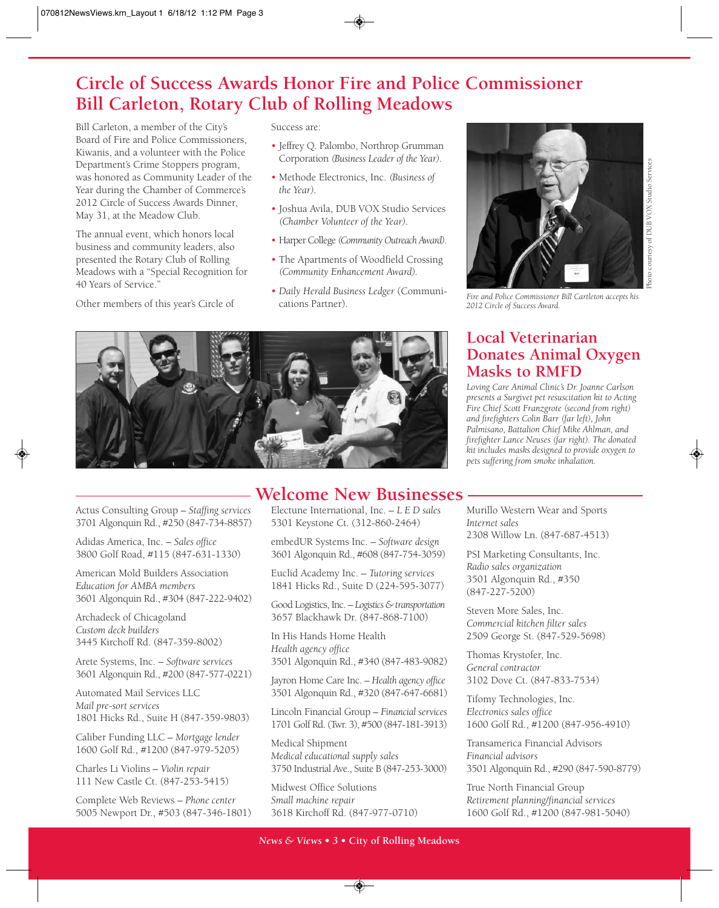## **Circle of Success Awards Honor Fire and Police Commissioner Bill Carleton, Rotary Club of Rolling Meadows**

Bill Carleton, a member of the City's Board of Fire and Police Commissioners, Kiwanis, and a volunteer with the Police Department's Crime Stoppers program, was honored as Community Leader of the Year during the Chamber of Commerce's 2012 Circle of Success Awards Dinner, May 31, at the Meadow Club.

The annual event, which honors local business and community leaders, also presented the Rotary Club of Rolling Meadows with a "Special Recognition for 40 Years of Service."

Other members of this year's Circle of

Success are:

- Jeffrey Q. Palombo, Northrop Grumman Corporation *(Business Leader of the Year).*
- Methode Electronics, Inc. *(Business of the Year).*
- Joshua Avila, DUB VOX Studio Services *(Chamber Volunteer of the Year).*
- Harper College *(Community Outreach Award).*
- The Apartments of Woodfield Crossing *(Community Enhancement Award).*
- *Daily Herald Business Ledger* (Communications Partner).



Actus Consulting Group – *Staffing services* 3701 Algonquin Rd., #250 (847-734-8857)

Adidas America, Inc. – *Sales office* 3800 Golf Road, #115 (847-631-1330)

American Mold Builders Association *Education for AMBA members* 3601 Algonquin Rd., #304 (847-222-9402)

Archadeck of Chicagoland *Custom deck builders* 3445 Kirchoff Rd. (847-359-8002)

Arete Systems, Inc. – *Software services* 3601 Algonquin Rd., #200 (847-577-0221)

Automated Mail Services LLC *Mail pre-sort services* 1801 Hicks Rd., Suite H (847-359-9803)

Caliber Funding LLC – *Mortgage lender* 1600 Golf Rd., #1200 (847-979-5205)

Charles Li Violins – *Violin repair* 111 New Castle Ct. (847-253-5415)

Complete Web Reviews – *Phone center* 5005 Newport Dr., #503 (847-346-1801)

## **Welcome New Businesses**

Electune International, Inc. – *L E D sales* 5301 Keystone Ct. (312-860-2464)

embedUR Systems Inc. – *Software design* 3601 Algonquin Rd., #608 (847-754-3059)

Euclid Academy Inc. – *Tutoring services* 1841 Hicks Rd., Suite D (224-595-3077)

Good Logistics, Inc. – *Logistics & transportation* 3657 Blackhawk Dr. (847-868-7100)

In His Hands Home Health *Health agency office* 3501 Algonquin Rd., #340 (847-483-9082)

Jayron Home Care Inc. – *Health agency office* 3501 Algonquin Rd., #320 (847-647-6681)

Lincoln Financial Group – *Financial services* 1701 Golf Rd. (Twr. 3), #500 (847-181-3913)

Medical Shipment *Medical educational supply sales* 3750 Industrial Ave., Suite B (847-253-3000)

Midwest Office Solutions *Small machine repair* 3618 Kirchoff Rd. (847-977-0710)



*Fire and Police Commissioner Bill Cartleton accepts his 2012 Circle of Success Award.*

## **Local Veterinarian Donates Animal Oxygen Masks to RMFD**

*Loving Care Animal Clinic's Dr. Joanne Carlson presents a Surgivet pet resuscitation kit to Acting Fire Chief Scott Franzgrote (second from right) and firefighters Colin Barr (far left), John Palmisano, Battalion Chief Mike Ahlman, and firefighter Lance Neuses (far right). The donated kit includes masks designed to provide oxygen to pets suffering from smoke inhalation.*

Murillo Western Wear and Sports *Internet sales* 2308 Willow Ln. (847-687-4513)

PSI Marketing Consultants, Inc. *Radio sales organization* 3501 Algonquin Rd., #350 (847-227-5200)

Steven More Sales, Inc. *Commercial kitchen filter sales* 2509 George St. (847-529-5698)

Thomas Krystofer, Inc. *General contractor* 3102 Dove Ct. (847-833-7534)

Tifomy Technologies, Inc. *Electronics sales office* 1600 Golf Rd., #1200 (847-956-4910)

Transamerica Financial Advisors *Financial advisors* 3501 Algonquin Rd., #290 (847-590-8779)

True North Financial Group *Retirement planning/financial services* 1600 Golf Rd., #1200 (847-981-5040)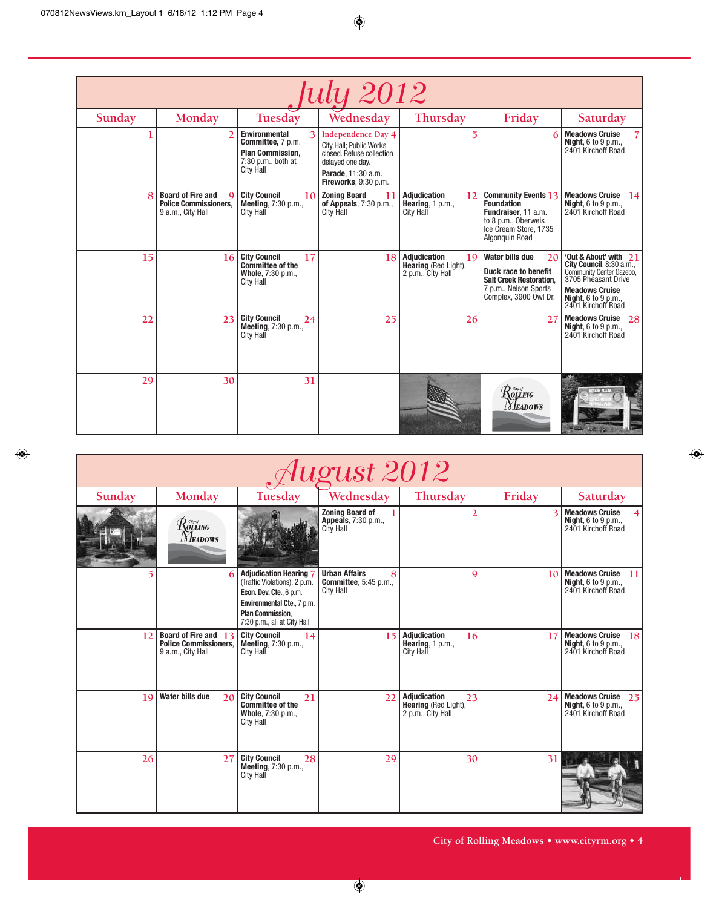| <i><u><b>July 2012</b></u></i> |                                                                                           |                                                                                                                       |                                                                                                                                                     |                                                                               |                                                                                                                                          |                                                                                                                                                                               |  |  |
|--------------------------------|-------------------------------------------------------------------------------------------|-----------------------------------------------------------------------------------------------------------------------|-----------------------------------------------------------------------------------------------------------------------------------------------------|-------------------------------------------------------------------------------|------------------------------------------------------------------------------------------------------------------------------------------|-------------------------------------------------------------------------------------------------------------------------------------------------------------------------------|--|--|
| Sunday                         | Monday                                                                                    | Tuesday                                                                                                               | Wednesday                                                                                                                                           | Thursday                                                                      | Friday                                                                                                                                   | Saturday                                                                                                                                                                      |  |  |
|                                | $\overline{2}$                                                                            | <b>Environmental</b><br>3<br>Committee, 7 p.m.<br><b>Plan Commission.</b><br>$7:30$ p.m., both at<br><b>City Hall</b> | <b>Independence Day 4</b><br>City Hall; Public Works<br>closed. Refuse collection<br>delayed one day.<br>Parade, 11:30 a.m.<br>Fireworks, 9:30 p.m. | $\overline{5}$                                                                | 6                                                                                                                                        | <b>Meadows Cruise</b><br><b>Night, 6 to 9 p.m.,</b><br>2401 Kirchoff Road                                                                                                     |  |  |
| 8                              | <b>Board of Fire and</b><br>$\Omega$<br><b>Police Commissioners.</b><br>9 a.m., City Hall | <b>City Council</b><br>10 <sup>1</sup><br><b>Meeting, 7:30 p.m.,</b><br>City Hall                                     | <b>Zoning Board</b><br>11<br>of Appeals, $7:30$ p.m.,<br><b>City Hall</b>                                                                           | <b>Adjudication</b><br>12<br>Hearing, $1 \text{ p.m.}$<br><b>City Hall</b>    | <b>Community Events 13</b><br><b>Foundation</b><br>Fundraiser, 11 a.m.<br>to 8 p.m., Oberweis<br>Ice Cream Store, 1735<br>Algonguin Road | <b>Meadows Cruise</b><br>14<br><b>Night</b> , $6$ to $9$ p.m.,<br>2401 Kirchoff Road                                                                                          |  |  |
| 15                             | 16                                                                                        | <b>City Council</b><br>17<br><b>Committee of the</b><br>Whole, 7:30 p.m.,<br>City Hall                                | 18                                                                                                                                                  | <b>Adjudication</b><br>19<br><b>Hearing (Red Light),</b><br>2 p.m., City Hall | <b>Water bills due</b><br>20<br>Duck race to benefit<br><b>Salt Creek Restoration.</b><br>7 p.m., Nelson Sports<br>Complex, 3900 Owl Dr. | 'Out & About' with<br>21<br>City Council, 8:30 a.m.,<br>Community Center Gazebo,<br>3705 Phéasant Drive<br><b>Meadows Cruise</b><br>Night, 6 to 9 p.m.,<br>2401 Kirchoff Road |  |  |
| 22                             | 23                                                                                        | <b>City Council</b><br>24<br><b>Meeting, 7:30 p.m.,</b><br><b>City Hall</b>                                           | 25                                                                                                                                                  | 26                                                                            | 27                                                                                                                                       | <b>Meadows Cruise</b><br>28<br><b>Night, 6 to 9 p.m.,</b><br>2401 Kirchoff Road                                                                                               |  |  |
| 29                             | 30                                                                                        | 31                                                                                                                    |                                                                                                                                                     |                                                                               | $\mathcal{R}^{\tiny{{}^{c\!v\sigma}}} _{\bm{o}\bm{\mu}\bm{N}\bm{\sigma}}$<br>Meadows                                                     |                                                                                                                                                                               |  |  |

| August 2012 |                                                                           |                                                                                                                                                                                |                                                                                |                                                                        |                 |                                                                                    |  |
|-------------|---------------------------------------------------------------------------|--------------------------------------------------------------------------------------------------------------------------------------------------------------------------------|--------------------------------------------------------------------------------|------------------------------------------------------------------------|-----------------|------------------------------------------------------------------------------------|--|
| Sunday      | Monday                                                                    | <b>Tuesday</b>                                                                                                                                                                 | Wednesday                                                                      | Thursday                                                               | Friday          | Saturday                                                                           |  |
|             | $\mathcal{R}$ olling<br><i>Neadows</i>                                    |                                                                                                                                                                                | <b>Zoning Board of</b><br>Appeals, 7:30 p.m.,<br>City Hall                     | $\overline{2}$                                                         | 3               | <b>Meadows Cruise</b><br><b>Night, 6 to 9 p.m.,</b><br>2401 Kirchoff Road          |  |
|             | 6                                                                         | <b>Adjudication Hearing</b><br>(Traffic Violations), 2 p.m.<br>Econ. Dev. Cte., 6 p.m.<br>Environmental Cte., 7 p.m.<br><b>Plan Commission.</b><br>7:30 p.m., all at City Hall | <b>Urban Affairs</b><br>8<br><b>Committee</b> , 5:45 p.m.,<br><b>City Hall</b> | 9                                                                      | 10 <sup>1</sup> | <b>Meadows Cruise</b><br>11<br><b>Night, 6 to 9 p.m.,</b><br>2401 Kirchoff Road    |  |
| 12          | Board of Fire and 13<br><b>Police Commissioners.</b><br>9 a.m., City Hall | <b>City Council</b><br>14<br>Meeting, 7:30 p.m.,<br>City Hall                                                                                                                  | 15                                                                             | Adjudication<br>16<br>Hearing, $1 p.m.,$<br><b>City Hall</b>           | 17              | <b>Meadows Cruise</b><br> 18 <br><b>Night</b> , 6 to 9 p.m.,<br>2401 Kirchoff Road |  |
| 19          | <b>Water bills due</b><br>20                                              | <b>City Council</b><br>21<br><b>Committee of the</b><br>Whole, 7:30 p.m.,<br>City Hall                                                                                         | 22                                                                             | Adjudication<br>23<br><b>Hearing (Red Light),</b><br>2 p.m., City Hall | 24              | <b>Meadows Cruise</b><br>25<br><b>Night</b> , 6 to 9 p.m.,<br>2401 Kirchoff Road   |  |
| 26          | 27                                                                        | <b>City Council</b><br>28<br><b>Meeting, 7:30 p.m.,</b><br>City Hall                                                                                                           | 29                                                                             | 30                                                                     | 31              |                                                                                    |  |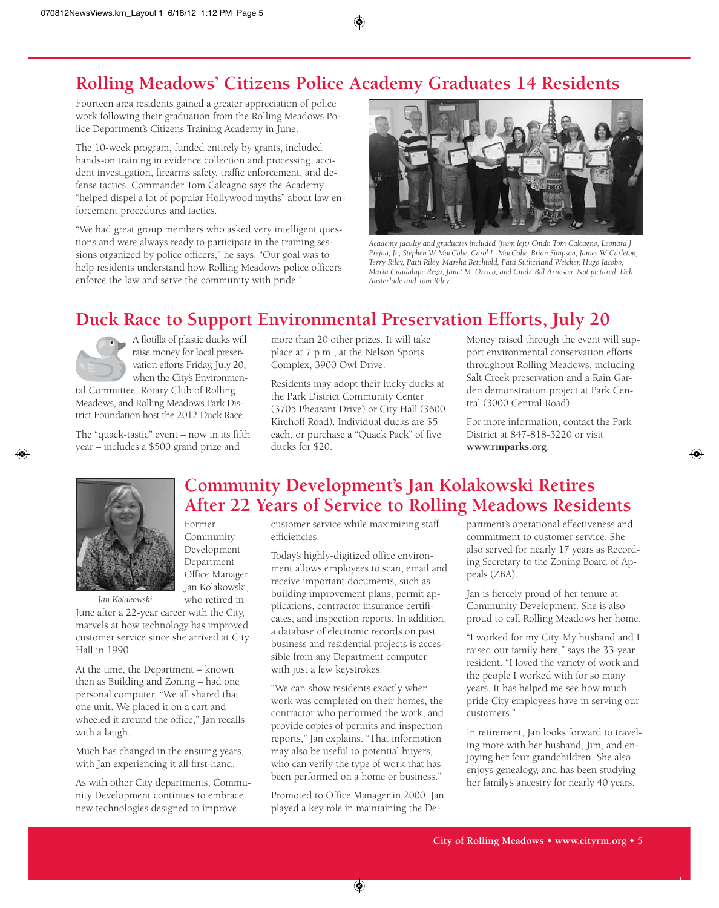## **Rolling Meadows' Citizens Police Academy Graduates 14 Residents**

Fourteen area residents gained a greater appreciation of police work following their graduation from the Rolling Meadows Police Department's Citizens Training Academy in June.

The 10-week program, funded entirely by grants, included hands-on training in evidence collection and processing, accident investigation, firearms safety, traffic enforcement, and defense tactics. Commander Tom Calcagno says the Academy "helped dispel a lot of popular Hollywood myths" about law enforcement procedures and tactics.

"We had great group members who asked very intelligent questions and were always ready to participate in the training sessions organized by police officers," he says. "Our goal was to help residents understand how Rolling Meadows police officers enforce the law and serve the community with pride."



*Academy faculty and graduates included (from left) Cmdr. Tom Calcagno, Leonard J. Prejna, Jr., Stephen W. MacCabe, Carol L. MacCabe, Brian Simpson, James W. Carleton, Terry Riley, Patti Riley, Marsha Betchtold, Patti Sutherland Weicker, Hugo Jacobo, Maria Guadalupe Reza, Janet M. Orrico, and Cmdr. Bill Arneson. Not pictured: Deb Austerlade and Tom Riley.*

# **Duck Race to Support Environmental Preservation Efforts, July 20**



A flotilla of plastic ducks will raise money for local preservation efforts Friday, July 20, when the City's Environmen-

tal Committee, Rotary Club of Rolling Meadows, and Rolling Meadows Park District Foundation host the 2012 Duck Race.

The "quack-tastic" event – now in its fifth year – includes a \$500 grand prize and

more than 20 other prizes. It will take place at 7 p.m., at the Nelson Sports Complex, 3900 Owl Drive.

Residents may adopt their lucky ducks at the Park District Community Center (3705 Pheasant Drive) or City Hall (3600 Kirchoff Road). Individual ducks are \$5 each, or purchase a "Quack Pack" of five ducks for \$20.

Money raised through the event will support environmental conservation efforts throughout Rolling Meadows, including Salt Creek preservation and a Rain Garden demonstration project at Park Central (3000 Central Road).

For more information, contact the Park District at 847-818-3220 or visit **www.rmparks.org**.



Former Community Development Department Office Manager Jan Kolakowski, who retired in

*Jan Kolakowski*

June after a 22-year career with the City, marvels at how technology has improved customer service since she arrived at City Hall in 1990.

At the time, the Department – known then as Building and Zoning – had one personal computer. "We all shared that one unit. We placed it on a cart and wheeled it around the office," Jan recalls with a laugh.

Much has changed in the ensuing years, with Jan experiencing it all first-hand.

As with other City departments, Community Development continues to embrace new technologies designed to improve

## **Community Development's Jan Kolakowski Retires After 22 Years of Service to Rolling Meadows Residents**

customer service while maximizing staff efficiencies.

Today's highly-digitized office environment allows employees to scan, email and receive important documents, such as building improvement plans, permit applications, contractor insurance certificates, and inspection reports. In addition, a database of electronic records on past business and residential projects is accessible from any Department computer with just a few keystrokes.

"We can show residents exactly when work was completed on their homes, the contractor who performed the work, and provide copies of permits and inspection reports," Jan explains. "That information may also be useful to potential buyers, who can verify the type of work that has been performed on a home or business."

Promoted to Office Manager in 2000, Jan played a key role in maintaining the Department's operational effectiveness and commitment to customer service. She also served for nearly 17 years as Recording Secretary to the Zoning Board of Appeals (ZBA).

Jan is fiercely proud of her tenure at Community Development. She is also proud to call Rolling Meadows her home.

"I worked for my City. My husband and I raised our family here," says the 33-year resident. "I loved the variety of work and the people I worked with for so many years. It has helped me see how much pride City employees have in serving our customers."

In retirement, Jan looks forward to traveling more with her husband, Jim, and enjoying her four grandchildren. She also enjoys genealogy, and has been studying her family's ancestry for nearly 40 years.